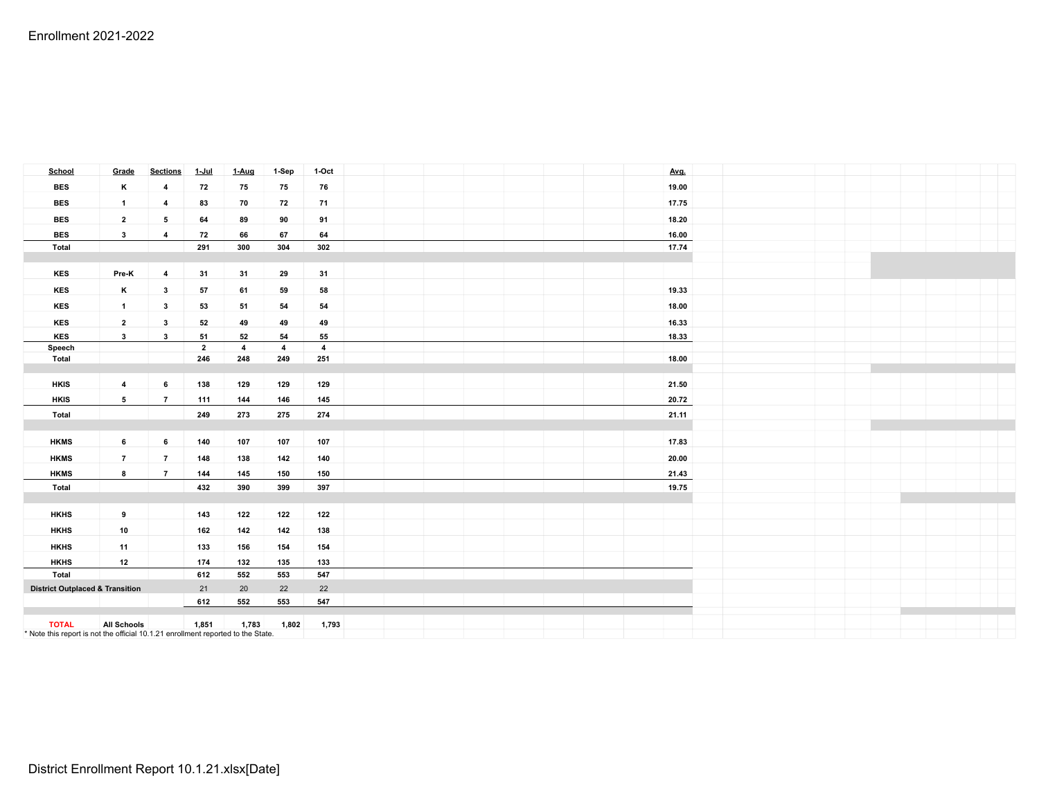| <b>School</b>                                                                                    | Grade                   | <b>Sections</b> | $1 -$ Jul      | 1-Aug          | 1-Sep          | 1-Oct                   |  |  | Avg.  |  |  |  |
|--------------------------------------------------------------------------------------------------|-------------------------|-----------------|----------------|----------------|----------------|-------------------------|--|--|-------|--|--|--|
| <b>BES</b>                                                                                       | к                       | $\overline{4}$  | 72             | 75             | 75             | 76                      |  |  | 19.00 |  |  |  |
| <b>BES</b>                                                                                       | $\overline{1}$          | $\overline{4}$  | 83             | 70             | 72             | 71                      |  |  | 17.75 |  |  |  |
| <b>BES</b>                                                                                       | $\overline{2}$          | 5               | 64             | 89             | 90             | 91                      |  |  | 18.20 |  |  |  |
| <b>BES</b>                                                                                       | $\mathbf{3}$            | $\overline{4}$  | 72             | 66             | 67             | 64                      |  |  | 16.00 |  |  |  |
| <b>Total</b>                                                                                     |                         |                 | 291            | 300            | 304            | 302                     |  |  | 17.74 |  |  |  |
|                                                                                                  |                         |                 |                |                |                |                         |  |  |       |  |  |  |
| KES                                                                                              | Pre-K                   | $\overline{4}$  | 31             | 31             | 29             | 31                      |  |  |       |  |  |  |
| KES                                                                                              | K                       | $\mathbf{3}$    | 57             | 61             | 59             | 58                      |  |  | 19.33 |  |  |  |
| KES                                                                                              | $\overline{1}$          | $\mathbf{3}$    | 53             | 51             | 54             | 54                      |  |  | 18.00 |  |  |  |
| KES                                                                                              | $\overline{2}$          | $\mathbf{3}$    | 52             | 49             | 49             | 49                      |  |  | 16.33 |  |  |  |
| KES                                                                                              | $\mathbf{3}$            | $\mathbf{3}$    | 51             | 52             | 54             | 55                      |  |  | 18.33 |  |  |  |
| Speech                                                                                           |                         |                 | $\overline{2}$ | $\overline{4}$ | $\overline{4}$ | $\overline{\mathbf{4}}$ |  |  |       |  |  |  |
| <b>Total</b>                                                                                     |                         |                 | 246            | 248            | 249            | 251                     |  |  | 18.00 |  |  |  |
|                                                                                                  |                         |                 |                |                |                |                         |  |  |       |  |  |  |
| <b>HKIS</b>                                                                                      | $\overline{\mathbf{4}}$ | 6               | 138            | 129            | 129            | 129                     |  |  | 21.50 |  |  |  |
| <b>HKIS</b>                                                                                      | 5                       | $\overline{7}$  | 111            | 144            | 146            | 145                     |  |  | 20.72 |  |  |  |
| <b>Total</b>                                                                                     |                         |                 | 249            | 273            | 275            | 274                     |  |  | 21.11 |  |  |  |
|                                                                                                  |                         |                 |                |                |                |                         |  |  |       |  |  |  |
| <b>HKMS</b>                                                                                      | $\,$ 6                  | 6               | 140            | 107            | 107            | 107                     |  |  | 17.83 |  |  |  |
| <b>HKMS</b>                                                                                      | $\overline{7}$          | $\overline{7}$  | 148            | 138            | 142            | 140                     |  |  | 20.00 |  |  |  |
| <b>HKMS</b>                                                                                      | 8                       | $\overline{7}$  | 144            | 145            | 150            | 150                     |  |  | 21.43 |  |  |  |
| Total                                                                                            |                         |                 | 432            | 390            | 399            | 397                     |  |  | 19.75 |  |  |  |
|                                                                                                  |                         |                 |                |                |                |                         |  |  |       |  |  |  |
| <b>HKHS</b>                                                                                      | 9                       |                 | 143            | 122            | 122            | 122                     |  |  |       |  |  |  |
| <b>HKHS</b>                                                                                      | 10                      |                 | 162            | 142            | 142            | 138                     |  |  |       |  |  |  |
| <b>HKHS</b>                                                                                      | 11                      |                 | 133            | 156            | 154            | 154                     |  |  |       |  |  |  |
| <b>HKHS</b>                                                                                      | 12                      |                 | 174            | 132            | 135            | 133                     |  |  |       |  |  |  |
| <b>Total</b>                                                                                     |                         |                 | 612            | 552            | 553            | 547                     |  |  |       |  |  |  |
| <b>District Outplaced &amp; Transition</b>                                                       |                         | 21              | 20             | 22             | 22             |                         |  |  |       |  |  |  |
|                                                                                                  |                         |                 | 612            | 552            | 553            | 547                     |  |  |       |  |  |  |
|                                                                                                  |                         |                 |                |                |                |                         |  |  |       |  |  |  |
| <b>TOTAL</b><br>* Note this report is not the official 10.1.21 enrollment reported to the State. | <b>All Schools</b>      |                 | 1,851          | 1,783          | 1,802          | 1,793                   |  |  |       |  |  |  |
|                                                                                                  |                         |                 |                |                |                |                         |  |  |       |  |  |  |